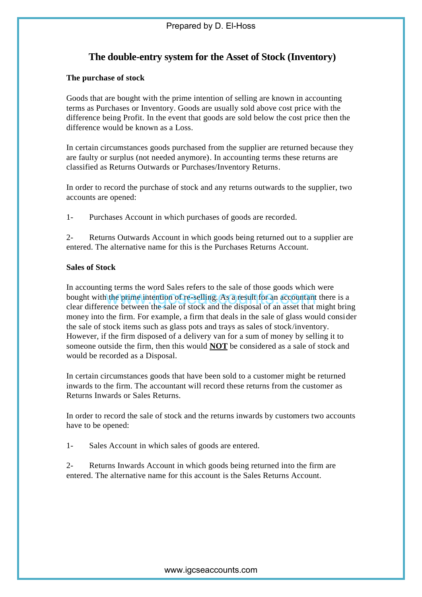# **The double-entry system for the Asset of Stock (Inventory)**

## **The purchase of stock**

Goods that are bought with the prime intention of selling are known in accounting terms as Purchases or Inventory. Goods are usually sold above cost price with the difference being Profit. In the event that goods are sold below the cost price then the difference would be known as a Loss.

In certain circumstances goods purchased from the supplier are returned because they are faulty or surplus (not needed anymore). In accounting terms these returns are classified as Returns Outwards or Purchases/Inventory Returns.

In order to record the purchase of stock and any returns outwards to the supplier, two accounts are opened:

1- Purchases Account in which purchases of goods are recorded.

2- Returns Outwards Account in which goods being returned out to a supplier are entered. The alternative name for this is the Purchases Returns Account.

# **Sales of Stock**

In accounting terms the word Sales refers to the sale of those goods which were bought with the prime intention of re-selling. As a result for an accountant there is a clear difference between the sale of stock and the disposal of an asset that might bring money into the firm. For example, a firm that deals in the sale of glass would consider the sale of stock items such as glass pots and trays as sales of stock/inventory. However, if the firm disposed of a delivery van for a sum of money by selling it to someone outside the firm, then this would **NOT** be considered as a sale of stock and would be recorded as a Disposal. where the sale of stock and the disposal of the prime intention of re-selling. As a result for an accountant the prime between the sale of stock and the disposal of an asset that the firm. For example, a firm that deals in

In certain circumstances goods that have been sold to a customer might be returned inwards to the firm. The accountant will record these returns from the customer as Returns Inwards or Sales Returns.

In order to record the sale of stock and the returns inwards by customers two accounts have to be opened:

1- Sales Account in which sales of goods are entered.

2- Returns Inwards Account in which goods being returned into the firm are entered. The alternative name for this account is the Sales Returns Account.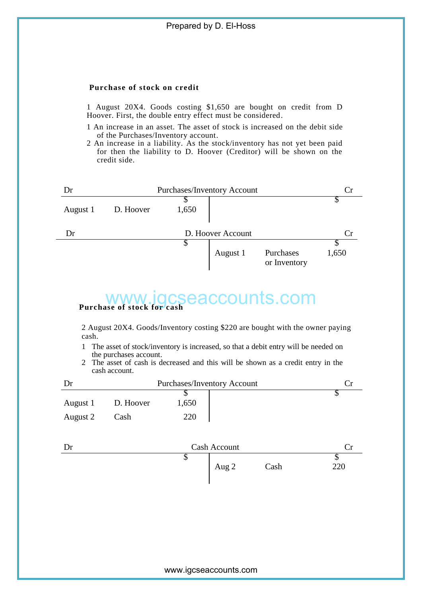### **Purchase of stock on credit**

1 August 20X4. Goods costing \$1,650 are bought on credit from D Hoover. First, the double entry effect must be considered.

- 1 An increase in an asset. The asset of stock is increased on the debit side of the Purchases/Inventory account.
- 2 An increase in a liability. As the stock/inventory has not yet been paid for then the liability to D. Hoover (Creditor) will be shown on the credit side.



# **Purchase of stock for cash**

- 1 The asset of stock/inventory is increased, so that a debit entry will be needed on the purchases account.
- 2 The asset of cash is decreased and this will be shown as a credit entry in the cash account.

| WWW.IOCSeaccounts.com    |                                                                                                                                                                                                                                                                                                  |                                    |       |      |                                |  |
|--------------------------|--------------------------------------------------------------------------------------------------------------------------------------------------------------------------------------------------------------------------------------------------------------------------------------------------|------------------------------------|-------|------|--------------------------------|--|
| cash.<br>1<br>2          | 2 August 20X4. Goods/Inventory costing \$220 are bought with the owner paying<br>The asset of stock/inventory is increased, so that a debit entry will be needed on<br>the purchases account.<br>The asset of cash is decreased and this will be shown as a credit entry in the<br>cash account. |                                    |       |      |                                |  |
| Dr                       |                                                                                                                                                                                                                                                                                                  | <b>Purchases/Inventory Account</b> |       |      |                                |  |
| August 1                 | D. Hoover                                                                                                                                                                                                                                                                                        | S<br>1,650                         |       |      | \$                             |  |
| August 2                 | Cash                                                                                                                                                                                                                                                                                             | 220                                |       |      |                                |  |
| Cash Account<br>Dr<br>Cr |                                                                                                                                                                                                                                                                                                  |                                    |       |      |                                |  |
|                          |                                                                                                                                                                                                                                                                                                  | $\overline{\mathbb{S}}$            | Aug 2 | Cash | $\overline{\mathbb{S}}$<br>220 |  |
|                          |                                                                                                                                                                                                                                                                                                  |                                    |       |      |                                |  |
|                          |                                                                                                                                                                                                                                                                                                  |                                    |       |      |                                |  |
|                          |                                                                                                                                                                                                                                                                                                  |                                    |       |      |                                |  |
|                          |                                                                                                                                                                                                                                                                                                  |                                    |       |      |                                |  |
| www.igcseaccounts.com    |                                                                                                                                                                                                                                                                                                  |                                    |       |      |                                |  |

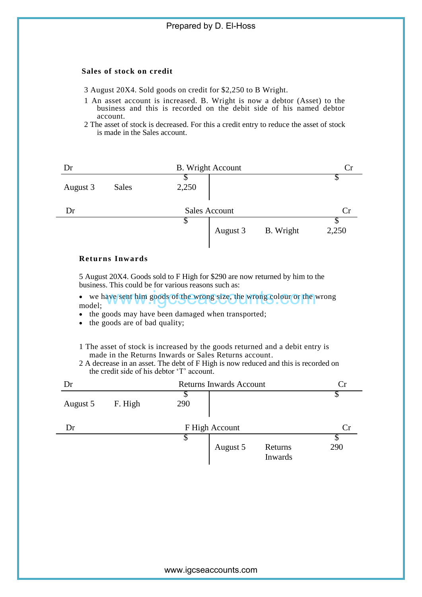### **Sales of stock on credit**

3 August 20X4. Sold goods on credit for \$2,250 to B Wright.

1 An asset account is increased. B. Wright is now a debtor (Asset) to the business and this is recorded on the debit side of his named debtor account.

2 The asset of stock is decreased. For this a credit entry to reduce the asset of stock is made in the Sales account.

| Dr                         |              |       | <b>B.</b> Wright Account |           |       |
|----------------------------|--------------|-------|--------------------------|-----------|-------|
| August 3                   | <b>Sales</b> | 2,250 |                          |           |       |
| <b>Sales Account</b><br>Dr |              |       |                          |           | Cr    |
|                            |              | Φ     | August 3                 | B. Wright | 2,250 |

#### **Returns Inwards**

5 August 20X4. Goods sold to F High for \$290 are now returned by him to the business. This could be for various reasons such as:

- we have sent him goods of the wrong size, the wrong colour or the wrong model;
- the goods may have been damaged when transported;
- the goods are of bad quality;
- 1 The asset of stock is increased by the goods returned and a debit entry is made in the Returns Inwards or Sales Returns account.
- 2 A decrease in an asset. The debt of F High is now reduced and this is recorded on the credit side of his debtor 'T' account.

|                                                                                                           | we have sent him goods of the wrong size, the wrong colour or the wrong                                                                                                                                                                                                    |                |                                |                    |          |
|-----------------------------------------------------------------------------------------------------------|----------------------------------------------------------------------------------------------------------------------------------------------------------------------------------------------------------------------------------------------------------------------------|----------------|--------------------------------|--------------------|----------|
| model:<br>the goods may have been damaged when transported;<br>the goods are of bad quality;<br>$\bullet$ |                                                                                                                                                                                                                                                                            |                |                                |                    |          |
|                                                                                                           | 1 The asset of stock is increased by the goods returned and a debit entry is<br>made in the Returns Inwards or Sales Returns account.<br>2 A decrease in an asset. The debt of F High is now reduced and this is recorded on<br>the credit side of his debtor 'T' account. |                |                                |                    |          |
| Dr                                                                                                        |                                                                                                                                                                                                                                                                            |                | <b>Returns Inwards Account</b> |                    |          |
| August 5                                                                                                  | F. High                                                                                                                                                                                                                                                                    | \$<br>290      |                                |                    | S        |
| Dr                                                                                                        |                                                                                                                                                                                                                                                                            | F High Account |                                |                    | Cr       |
|                                                                                                           |                                                                                                                                                                                                                                                                            | \$             | August 5                       | Returns<br>Inwards | T<br>290 |
|                                                                                                           |                                                                                                                                                                                                                                                                            |                |                                |                    |          |
|                                                                                                           |                                                                                                                                                                                                                                                                            |                |                                |                    |          |
|                                                                                                           |                                                                                                                                                                                                                                                                            |                |                                |                    |          |
|                                                                                                           |                                                                                                                                                                                                                                                                            |                | www.igcseaccounts.com          |                    |          |